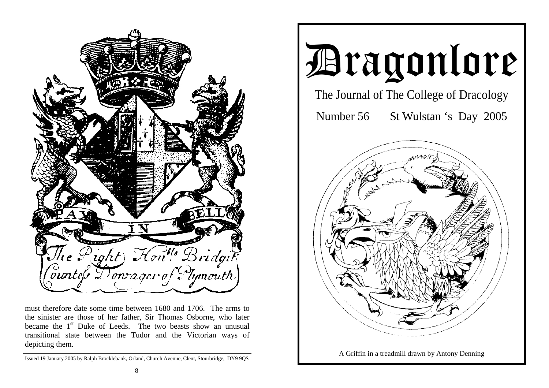

must therefore date some time between 1680 and 1706. The arms to the sinister are those of her father, Sir Thomas Osborne, who later became the  $1<sup>st</sup>$  Duke of Leeds. The two beasts show an unusual transitional state between the Tudor and the Victorian ways of depicting them.



Issued 19 January 2005 by Ralph Brocklebank, Orland, Church Avenue, Clent, Stourbridge, DY9 9QS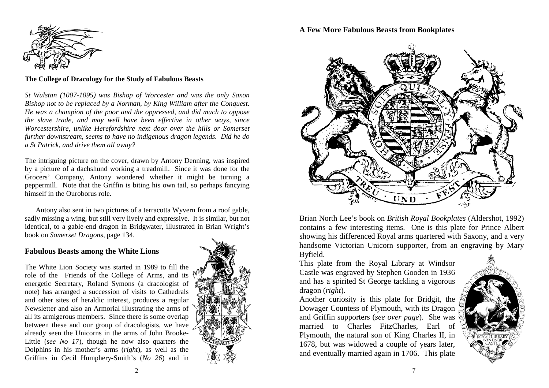

#### **The College of Dracology for the Study of Fabulous Beasts**

*St Wulstan (1007-1095) was Bishop of Worcester and was the only Saxon Bishop not to be replaced by a Norman, by King William after the Conquest. He was a champion of the poor and the oppressed, and did much to oppose the slave trade, and may well have been effective in other ways, since Worcestershire, unlike Herefordshire next door over the hills or Somerset further downstream, seems to have no indigenous dragon legends. Did he do a St Patrick, and drive them all away?* 

The intriguing picture on the cover, drawn by Antony Denning, was inspired by a picture of a dachshund working a treadmill. Since it was done for the Grocers' Company, Antony wondered whether it might be turning a peppermill. Note that the Griffin is biting his own tail, so perhaps fancying himself in the Ouroborus role.

 Antony also sent in two pictures of a terracotta Wyvern from a roof gable, sadly missing a wing, but still very lively and expressive. It is similar, but not identical, to a gable-end dragon in Bridgwater, illustrated in Brian Wright's book on *Somerset Dragons*, page 134.

#### **Fabulous Beasts among the White Lions**

The White Lion Society was started in 1989 to fill the role of the Friends of the College of Arms, and its energetic Secretary, Roland Symons (a dracologist of note) has arranged a succession of visits to Cathedrals and other sites of heraldic interest, produces a regular Newsletter and also an Armorial illustrating the arms of all its armigerous members. Since there is some overlap between these and our group of dracologists, we have already seen the Unicorns in the arms of John Brooke-Little (*see No 17*), though he now also quarters the Dolphins in his mother's arms (*right*), as well as the Griffins in Cecil Humphery-Smith's (*No 26*) and in



## **A Few More Fabulous Beasts from Bookplates**



Brian North Lee's book on *British Royal Bookplates* (Aldershot, 1992) contains a few interesting items. One is this plate for Prince Albert showing his differenced Royal arms quartered with Saxony, and a very handsome Victorian Unicorn supporter, from an engraving by Mary Byfield.

This plate from the Royal Library at Windsor Castle was engraved by Stephen Gooden in 1936 and has a spirited St George tackling a vigorous dragon (*right*).

Another curiosity is this plate for Bridgit, the Dowager Countess of Plymouth, with its Dragon and Griffin supporters (*see over page*). She was married to Charles FitzCharles, Earl of Plymouth, the natural son of King Charles II, in 1678, but was widowed a couple of years later, and eventually married again in 1706. This plate

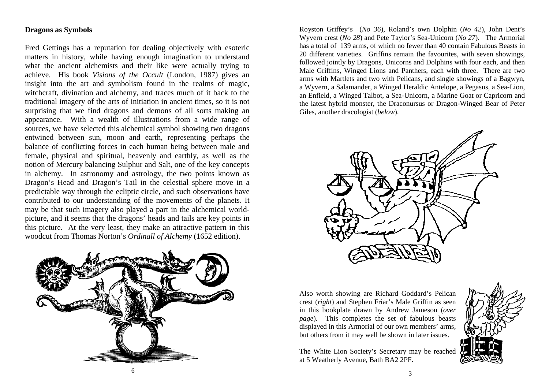## **Dragons as Symbols**

Fred Gettings has a reputation for dealing objectively with esoteric matters in history, while having enough imagination to understand what the ancient alchemists and their like were actually trying to achieve. His book *Visions of the Occult* (London, 1987) gives an insight into the art and symbolism found in the realms of magic, witchcraft, divination and alchemy, and traces much of it back to the traditional imagery of the arts of initiation in ancient times, so it is not surprising that we find dragons and demons of all sorts making an appearance. With a wealth of illustrations from a wide range of sources, we have selected this alchemical symbol showing two dragons entwined between sun, moon and earth, representing perhaps the balance of conflicting forces in each human being between male and female, physical and spiritual, heavenly and earthly, as well as the notion of Mercury balancing Sulphur and Salt, one of the key concepts in alchemy. In astronomy and astrology, the two points known as Dragon's Head and Dragon's Tail in the celestial sphere move in a predictable way through the ecliptic circle, and such observations have contributed to our understanding of the movements of the planets. It may be that such imagery also played a part in the alchemical worldpicture, and it seems that the dragons' heads and tails are key points in this picture. At the very least, they make an attractive pattern in this woodcut from Thomas Norton's *Ordinall of Alchemy* (1652 edition).



Royston Griffey's (*No 36*), Roland's own Dolphin (*No 42*), John Dent's Wyvern crest (*No 28*) and Pete Taylor's Sea-Unicorn (*No 27*). The Armorial has a total of 139 arms, of which no fewer than 40 contain Fabulous Beasts in 20 different varieties. Griffins remain the favourites, with seven showings, followed jointly by Dragons, Unicorns and Dolphins with four each, and then Male Griffins, Winged Lions and Panthers, each with three. There are two arms with Martlets and two with Pelicans, and single showings of a Bagwyn, a Wyvern, a Salamander, a Winged Heraldic Antelope, a Pegasus, a Sea-Lion, an Enfield, a Winged Talbot, a Sea-Unicorn, a Marine Goat or Capricorn and the latest hybrid monster, the Draconursus or Dragon-Winged Bear of Peter Giles, another dracologist (*below*).



Also worth showing are Richard Goddard's Pelican crest (*right*) and Stephen Friar's Male Griffin as seen in this bookplate drawn by Andrew Jameson (*over page*). This completes the set of fabulous beasts displayed in this Armorial of our own members' arms, but others from it may well be shown in later issues.

The White Lion Society's Secretary may be reached at 5 Weatherly Avenue, Bath BA2 2PF.